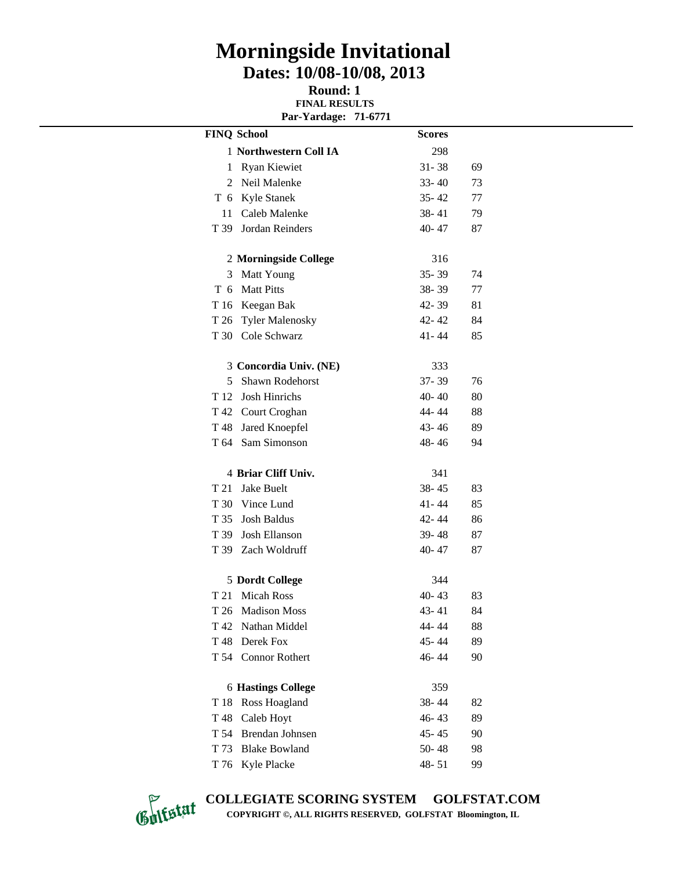## **Morningside Invitational Dates: 10/08-10/08, 2013**

**Round: 1 FINAL RESULTS Par-Yardage: 71-6771**

|      | <b>FINQ School</b>        | <b>Scores</b> |    |
|------|---------------------------|---------------|----|
|      | 1 Northwestern Coll IA    | 298           |    |
| 1    | Ryan Kiewiet              | $31 - 38$     | 69 |
| 2    | Neil Malenke              | $33 - 40$     | 73 |
|      | T 6 Kyle Stanek           | $35 - 42$     | 77 |
|      | 11 Caleb Malenke          | $38 - 41$     | 79 |
|      | T 39 Jordan Reinders      | 40-47         | 87 |
|      |                           |               |    |
|      | 2 Morningside College     | 316           |    |
|      | 3 Matt Young              | $35 - 39$     | 74 |
| T 6  | <b>Matt Pitts</b>         | 38-39         | 77 |
|      | T 16 Keegan Bak           | 42-39         | 81 |
|      | T 26 Tyler Malenosky      | 42-42         | 84 |
| T 30 | Cole Schwarz              | $41 - 44$     | 85 |
|      | 3 Concordia Univ. (NE)    | 333           |    |
| 5    | Shawn Rodehorst           | $37 - 39$     | 76 |
|      | T 12 Josh Hinrichs        | $40 - 40$     | 80 |
|      | T 42 Court Croghan        | 44-44         | 88 |
| T 48 | Jared Knoepfel            | $43 - 46$     | 89 |
|      | T 64 Sam Simonson         | 48-46         | 94 |
|      | 4 Briar Cliff Univ.       | 341           |    |
| T 21 | Jake Buelt                | $38 - 45$     | 83 |
|      | T 30 Vince Lund           | $41 - 44$     | 85 |
|      | T 35 Josh Baldus          | 42-44         | 86 |
|      | T 39 Josh Ellanson        | 39-48         | 87 |
|      | T 39 Zach Woldruff        | $40 - 47$     | 87 |
|      | 5 Dordt College           | 344           |    |
|      | T 21 Micah Ross           | 40-43         | 83 |
| T 26 | <b>Madison Moss</b>       | $43 - 41$     | 84 |
| T 42 | Nathan Middel             | 44-44         | 88 |
| T 48 | Derek Fox                 | $45 - 44$     | 89 |
| T 54 | <b>Connor Rothert</b>     | 46-44         | 90 |
|      | <b>6 Hastings College</b> | 359           |    |
| T 18 | Ross Hoagland             | 38-44         | 82 |
| T 48 | Caleb Hoyt                | 46-43         | 89 |
| T 54 | Brendan Johnsen           | 45 - 45       | 90 |
| T 73 | <b>Blake Bowland</b>      | $50 - 48$     | 98 |
| T 76 | Kyle Placke               | $48 - 51$     | 99 |

**COLLEGIATE SCORING SYSTEM GOLFSTAT.COM COPYRIGHT ©, ALL RIGHTS RESERVED, GOLFSTAT Bloomington, IL**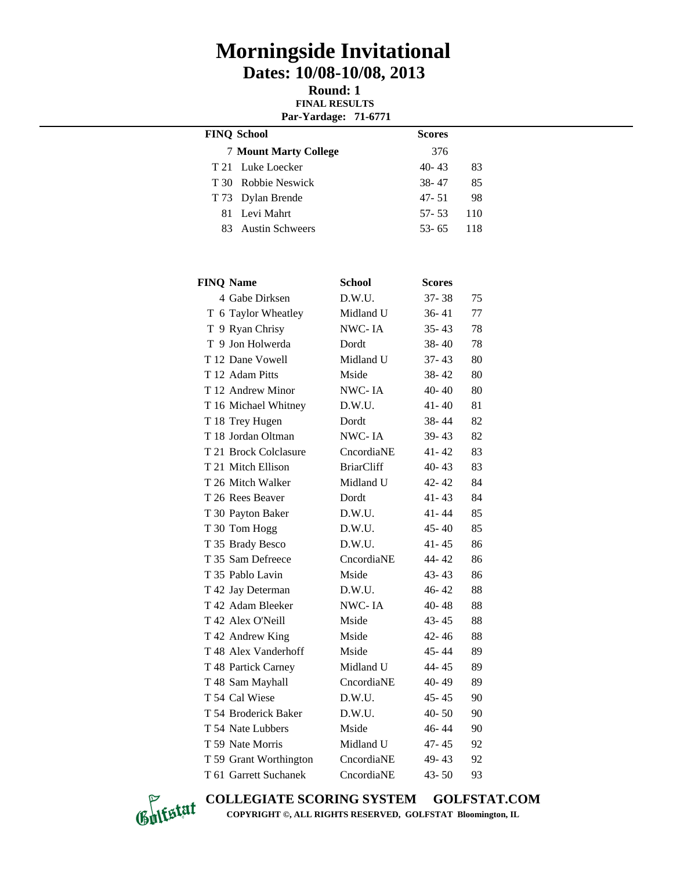## **Morningside Invitational Dates: 10/08-10/08, 2013**

**Round: 1 FINAL RESULTS** 

**Par-Yardage: 71-6771**

| <b>FINQ School</b>           | <b>Scores</b> |     |
|------------------------------|---------------|-----|
| <b>7 Mount Marty College</b> | 376           |     |
| T 21 Luke Loecker            | $40 - 43$     | 83  |
| T 30 Robbie Neswick          | 38-47         | 85  |
| T 73 Dylan Brende            | $47 - 51$     | 98  |
| 81 Levi Mahrt                | 57-53         | 110 |
| 83 Austin Schweers           | 53-65         | 118 |

| <b>FINQ Name</b>       | School            | <b>Scores</b> |    |
|------------------------|-------------------|---------------|----|
| 4 Gabe Dirksen         | D.W.U.            | $37 - 38$     | 75 |
| T 6 Taylor Wheatley    | Midland U         | $36 - 41$     | 77 |
| T 9 Ryan Chrisy        | NWC-IA            | $35 - 43$     | 78 |
| T 9 Jon Holwerda       | Dordt             | $38 - 40$     | 78 |
| T 12 Dane Vowell       | Midland U         | $37 - 43$     | 80 |
| T 12 Adam Pitts        | Mside             | 38-42         | 80 |
| T 12 Andrew Minor      | NWC-IA            | $40 - 40$     | 80 |
| T 16 Michael Whitney   | D.W.U.            | $41 - 40$     | 81 |
| T 18 Trey Hugen        | Dordt             | 38-44         | 82 |
| T 18 Jordan Oltman     | NWC-IA            | $39 - 43$     | 82 |
| T 21 Brock Colclasure  | CncordiaNE        | $41 - 42$     | 83 |
| T 21 Mitch Ellison     | <b>BriarCliff</b> | $40 - 43$     | 83 |
| T 26 Mitch Walker      | Midland U         | 42-42         | 84 |
| T 26 Rees Beaver       | Dordt             | $41 - 43$     | 84 |
| T 30 Payton Baker      | D.W.U.            | $41 - 44$     | 85 |
| T 30 Tom Hogg          | D.W.U.            | $45 - 40$     | 85 |
| T 35 Brady Besco       | D.W.U.            | $41 - 45$     | 86 |
| T 35 Sam Defreece      | CncordiaNE        | 44-42         | 86 |
| T 35 Pablo Lavin       | Mside             | $43 - 43$     | 86 |
| T 42 Jay Determan      | D.W.U.            | 46-42         | 88 |
| T 42 Adam Bleeker      | NWC-IA            | $40 - 48$     | 88 |
| T 42 Alex O'Neill      | Mside             | $43 - 45$     | 88 |
| T 42 Andrew King       | Mside             | $42 - 46$     | 88 |
| T 48 Alex Vanderhoff   | Mside             | $45 - 44$     | 89 |
| T 48 Partick Carney    | Midland U         | 44-45         | 89 |
| T 48 Sam Mayhall       | CncordiaNE        | 40-49         | 89 |
| T 54 Cal Wiese         | D.W.U.            | $45 - 45$     | 90 |
| T 54 Broderick Baker   | D.W.U.            | $40 - 50$     | 90 |
| T 54 Nate Lubbers      | Mside             | 46-44         | 90 |
| T 59 Nate Morris       | Midland U         | $47 - 45$     | 92 |
| T 59 Grant Worthington | CncordiaNE        | 49-43         | 92 |
| T 61 Garrett Suchanek  | CncordiaNE        | $43 - 50$     | 93 |



**COLLEGIATE SCORING SYSTEM GOLFSTAT.COM COPYRIGHT ©, ALL RIGHTS RESERVED, GOLFSTAT Bloomington, IL**